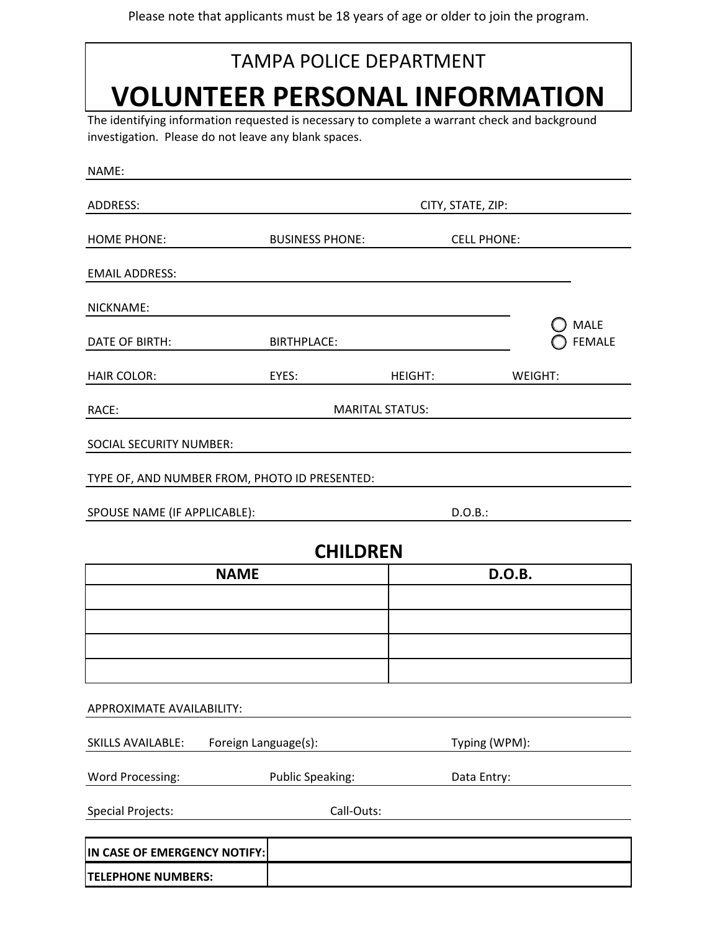## The identifying information requested is necessary to complete a warrant check and background TAMPA POLICE DEPARTMENT **VOLUNTEER PERSONAL INFORMATION**

investigation. Please do not leave any blank spaces.

| NAME:                                            |                                               |                        |                              |  |
|--------------------------------------------------|-----------------------------------------------|------------------------|------------------------------|--|
| ADDRESS:                                         |                                               | CITY, STATE, ZIP:      |                              |  |
| <b>HOME PHONE:</b>                               | <b>BUSINESS PHONE:</b>                        |                        | <b>CELL PHONE:</b>           |  |
| <b>EMAIL ADDRESS:</b>                            |                                               |                        |                              |  |
| NICKNAME:                                        |                                               |                        |                              |  |
| DATE OF BIRTH:                                   | <b>BIRTHPLACE:</b>                            |                        | <b>MALE</b><br><b>FEMALE</b> |  |
| <b>HAIR COLOR:</b>                               | EYES:                                         | <b>HEIGHT:</b>         | WEIGHT:                      |  |
| RACE:                                            |                                               | <b>MARITAL STATUS:</b> |                              |  |
| SOCIAL SECURITY NUMBER:                          |                                               |                        |                              |  |
|                                                  | TYPE OF, AND NUMBER FROM, PHOTO ID PRESENTED: |                        |                              |  |
| SPOUSE NAME (IF APPLICABLE):                     |                                               |                        | D.O.B.:                      |  |
|                                                  | <b>CHILDREN</b>                               |                        |                              |  |
| <b>NAME</b>                                      |                                               |                        | D.O.B.                       |  |
|                                                  |                                               |                        |                              |  |
|                                                  |                                               |                        |                              |  |
|                                                  |                                               |                        |                              |  |
|                                                  |                                               |                        |                              |  |
| APPROXIMATE AVAILABILITY:                        |                                               |                        |                              |  |
| Foreign Language(s):<br><b>SKILLS AVAILABLE:</b> |                                               |                        | Typing (WPM):                |  |
| Word Processing:                                 | <b>Public Speaking:</b>                       |                        | Data Entry:                  |  |
| <b>Special Projects:</b>                         | Call-Outs:                                    |                        |                              |  |
|                                                  |                                               |                        |                              |  |
| IN CASE OF EMERGENCY NOTIFY:                     |                                               |                        |                              |  |
| <b>TELEPHONE NUMBERS:</b>                        |                                               |                        |                              |  |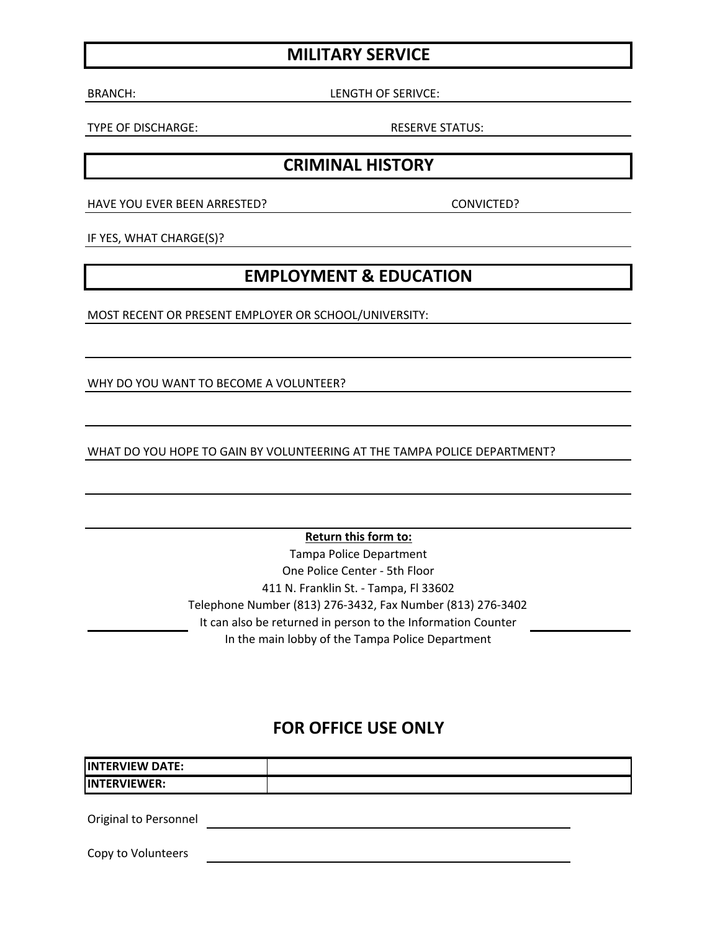### **MILITARY SERVICE**

BRANCH: LENGTH OF SERIVCE:

TYPE OF DISCHARGE: RESERVE STATUS:

#### **CRIMINAL HISTORY**

HAVE YOU EVER BEEN ARRESTED? 
SAND THE RESERVE ON VICTED?

IF YES, WHAT CHARGE(S)?

#### **EMPLOYMENT & EDUCATION**

MOST RECENT OR PRESENT EMPLOYER OR SCHOOL/UNIVERSITY:

WHY DO YOU WANT TO BECOME A VOLUNTEER?

WHAT DO YOU HOPE TO GAIN BY VOLUNTEERING AT THE TAMPA POLICE DEPARTMENT?

**Return this form to:** 

Tampa Police Department One Police Center - 5th Floor 411 N. Franklin St. - Tampa, Fl 33602 Telephone Number (813) 276-3432, Fax Number (813) 276-3402 It can also be returned in person to the Information Counter In the main lobby of the Tampa Police Department

#### **FOR OFFICE USE ONLY**

| <b>IINTERVIEW DATE:</b>      |  |
|------------------------------|--|
| <b>IINTERVIEWER:</b>         |  |
|                              |  |
| <b>Original to Personnel</b> |  |

Copy to Volunteers